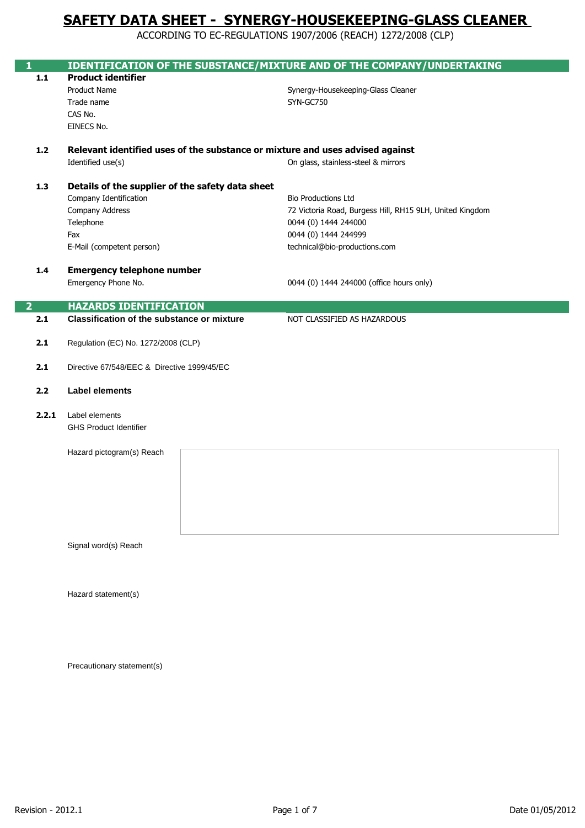ACCORDING TO EC-REGULATIONS 1907/2006 (REACH) 1272/2008 (CLP)

| 1              |                                                                               | <b>IDENTIFICATION OF THE SUBSTANCE/MIXTURE AND OF THE COMPANY/UNDERTAKING</b> |
|----------------|-------------------------------------------------------------------------------|-------------------------------------------------------------------------------|
| $1.1$          | <b>Product identifier</b>                                                     |                                                                               |
|                | Product Name                                                                  | Synergy-Housekeeping-Glass Cleaner                                            |
|                | Trade name                                                                    | SYN-GC750                                                                     |
|                | CAS No.                                                                       |                                                                               |
|                | EINECS No.                                                                    |                                                                               |
|                |                                                                               |                                                                               |
| $1.2$          | Relevant identified uses of the substance or mixture and uses advised against |                                                                               |
|                | Identified use(s)                                                             | On glass, stainless-steel & mirrors                                           |
|                |                                                                               |                                                                               |
| 1.3            | Details of the supplier of the safety data sheet                              |                                                                               |
|                | Company Identification                                                        | <b>Bio Productions Ltd</b>                                                    |
|                | Company Address                                                               | 72 Victoria Road, Burgess Hill, RH15 9LH, United Kingdom                      |
|                | Telephone                                                                     | 0044 (0) 1444 244000                                                          |
|                | Fax                                                                           | 0044 (0) 1444 244999                                                          |
|                | E-Mail (competent person)                                                     | technical@bio-productions.com                                                 |
|                | <b>Emergency telephone number</b>                                             |                                                                               |
| 1.4            | Emergency Phone No.                                                           | 0044 (0) 1444 244000 (office hours only)                                      |
|                |                                                                               |                                                                               |
| $\overline{2}$ | <b>HAZARDS IDENTIFICATION</b>                                                 |                                                                               |
| 2.1            | <b>Classification of the substance or mixture</b>                             | NOT CLASSIFIED AS HAZARDOUS                                                   |
|                |                                                                               |                                                                               |
| $2.1$          | Regulation (EC) No. 1272/2008 (CLP)                                           |                                                                               |
|                |                                                                               |                                                                               |
| $2.1$          | Directive 67/548/EEC & Directive 1999/45/EC                                   |                                                                               |
|                |                                                                               |                                                                               |
| 2.2            | <b>Label elements</b>                                                         |                                                                               |
|                |                                                                               |                                                                               |
| 2.2.1          | Label elements                                                                |                                                                               |
|                | <b>GHS Product Identifier</b>                                                 |                                                                               |
|                |                                                                               |                                                                               |
|                | Hazard pictogram(s) Reach                                                     |                                                                               |
|                |                                                                               |                                                                               |
|                |                                                                               |                                                                               |
|                |                                                                               |                                                                               |
|                |                                                                               |                                                                               |
|                |                                                                               |                                                                               |
|                |                                                                               |                                                                               |
|                | Signal word(s) Reach                                                          |                                                                               |
|                |                                                                               |                                                                               |
|                |                                                                               |                                                                               |
|                |                                                                               |                                                                               |
|                | Hazard statement(s)                                                           |                                                                               |
|                |                                                                               |                                                                               |
|                |                                                                               |                                                                               |

Precautionary statement(s)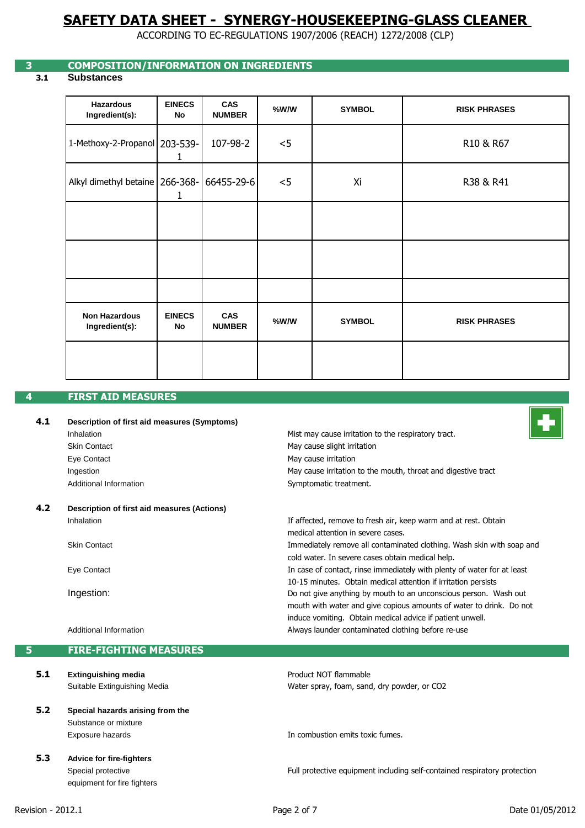ACCORDING TO EC-REGULATIONS 1907/2006 (REACH) 1272/2008 (CLP)

# **3 COMPOSITION/INFORMATION ON INGREDIENTS**

# **3.1 Substances**

| <b>Hazardous</b><br>Ingredient(s):     | <b>EINECS</b><br>No | CAS<br><b>NUMBER</b> | %W/W | <b>SYMBOL</b> | <b>RISK PHRASES</b> |
|----------------------------------------|---------------------|----------------------|------|---------------|---------------------|
| 1-Methoxy-2-Propanol 203-539-          | 1                   | 107-98-2             | < 5  |               | R10 & R67           |
| Alkyl dimethyl betaine   266-368-      | 1                   | 66455-29-6           | < 5  | Xi            | R38 & R41           |
|                                        |                     |                      |      |               |                     |
|                                        |                     |                      |      |               |                     |
|                                        |                     |                      |      |               |                     |
| <b>Non Hazardous</b><br>Ingredient(s): | <b>EINECS</b><br>No | CAS<br><b>NUMBER</b> | %W/W | <b>SYMBOL</b> | <b>RISK PHRASES</b> |
|                                        |                     |                      |      |               |                     |

### **4 FIRST AID MEASURES**

| 4.1 | Description of first aid measures (Symptoms) |                                                                         |
|-----|----------------------------------------------|-------------------------------------------------------------------------|
|     | Inhalation                                   | Mist may cause irritation to the respiratory tract.                     |
|     | <b>Skin Contact</b>                          | May cause slight irritation                                             |
|     | Eye Contact                                  | May cause irritation                                                    |
|     | Ingestion                                    | May cause irritation to the mouth, throat and digestive tract           |
|     | Additional Information                       | Symptomatic treatment.                                                  |
| 4.2 | Description of first aid measures (Actions)  |                                                                         |
|     | Inhalation                                   | If affected, remove to fresh air, keep warm and at rest. Obtain         |
|     |                                              | medical attention in severe cases.                                      |
|     | <b>Skin Contact</b>                          | Immediately remove all contaminated clothing. Wash skin with soap and   |
|     |                                              | cold water. In severe cases obtain medical help.                        |
|     | Eye Contact                                  | In case of contact, rinse immediately with plenty of water for at least |
|     |                                              | 10-15 minutes. Obtain medical attention if irritation persists          |
|     | Ingestion:                                   | Do not give anything by mouth to an unconscious person. Wash out        |

mouth with water and give copious amounts of water to drink. Do not

Full protective equipment including self-contained respiratory protection

induce vomiting. Obtain medical advice if patient unwell.

Always launder contaminated clothing before re-use

Water spray, foam, sand, dry powder, or CO2

In combustion emits toxic fumes.

Product NOT flammable

Additional Information

**5 FIRE-FIGHTING MEASURES**

- **5.1 Extinguishing media** Suitable Extinguishing Media
- **5.2 Special hazards arising from the**  Substance or mixture Exposure hazards
- **5.3 Advice for fire-fighters** Special protective equipment for fire fighters

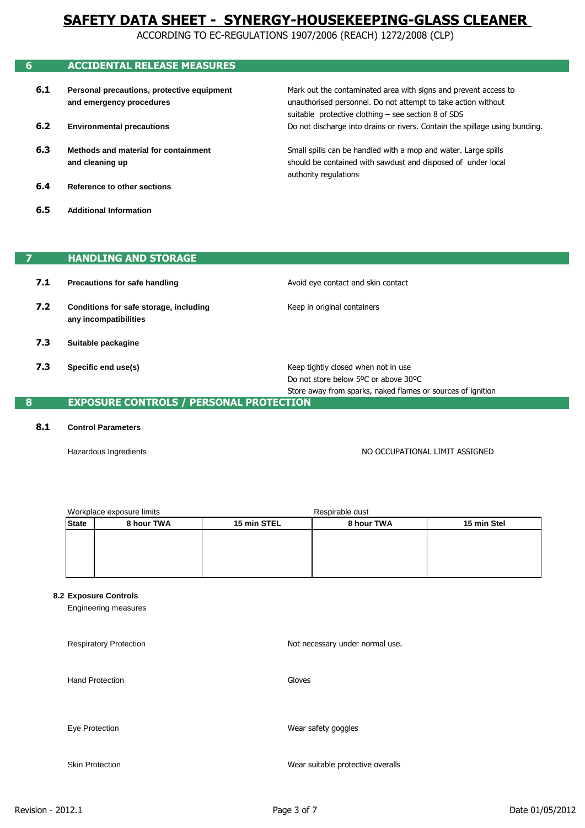ACCORDING TO EC-REGULATIONS 1907/2006 (REACH) 1272/2008 (CLP)

authority regulations

| 6   | <b>ACCIDENTAL RELEASE MEASURES</b>         |                                                                             |
|-----|--------------------------------------------|-----------------------------------------------------------------------------|
| 6.1 | Personal precautions, protective equipment | Mark out the contaminated area with signs and prevent access to             |
|     | and emergency procedures                   | unauthorised personnel. Do not attempt to take action without               |
|     |                                            | suitable protective clothing - see section 8 of SDS                         |
| 6.2 | <b>Environmental precautions</b>           | Do not discharge into drains or rivers. Contain the spillage using bunding. |
| 6.3 | Methods and material for containment       | Small spills can be handled with a mop and water. Large spills              |
|     | and cleaning up                            | should be contained with sawdust and disposed of under local                |

- **6.4 Reference to other sections**
- **6.5 Additional Information**

# **7 HANDLING AND STORAGE**

| 7.1 | Precautions for safe handling                                   | Avoid eye contact and skin contact                                                                                                         |
|-----|-----------------------------------------------------------------|--------------------------------------------------------------------------------------------------------------------------------------------|
| 7.2 | Conditions for safe storage, including<br>any incompatibilities | Keep in original containers                                                                                                                |
| 7.3 | Suitable packagine                                              |                                                                                                                                            |
| 7.3 | Specific end use(s)                                             | Keep tightly closed when not in use<br>Do not store below 5°C or above 30°C<br>Store away from sparks, naked flames or sources of ignition |

# **8 EXPOSURE CONTROLS / PERSONAL PROTECTION**

### **8.1 Control Parameters**

Hazardous Ingredients

NO OCCUPATIONAL LIMIT ASSIGNED

| Workplace exposure limits |            | Respirable dust |            |             |
|---------------------------|------------|-----------------|------------|-------------|
| <b>State</b>              | 8 hour TWA | 15 min STEL     | 8 hour TWA | 15 min Stel |
|                           |            |                 |            |             |
|                           |            |                 |            |             |
|                           |            |                 |            |             |
|                           |            |                 |            |             |

#### **8.2 Exposure Controls**

Engineering measures

Respiratory Protection Hand Protection Eye Protection Skin Protection Not necessary under normal use. Gloves Wear safety goggles Wear suitable protective overalls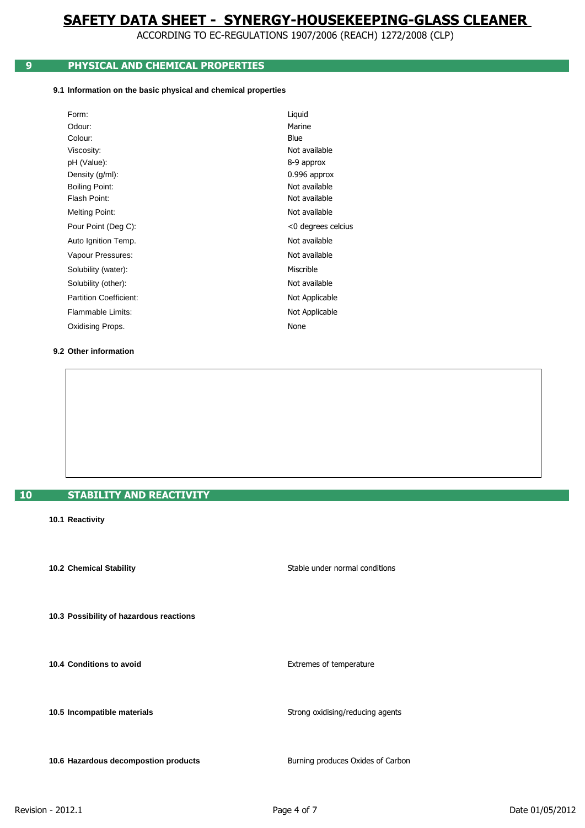ACCORDING TO EC-REGULATIONS 1907/2006 (REACH) 1272/2008 (CLP)

# **9 PHYSICAL AND CHEMICAL PROPERTIES**

#### **9.1 Information on the basic physical and chemical properties**

| Form:                         | Liquid             |
|-------------------------------|--------------------|
| Odour:                        | Marine             |
| Colour:                       | Blue               |
| Viscosity:                    | Not available      |
| pH (Value):                   | 8-9 approx         |
| Density (g/ml):               | 0.996 approx       |
| <b>Boiling Point:</b>         | Not available      |
| Flash Point:                  | Not available      |
| Melting Point:                | Not available      |
| Pour Point (Deg C):           | <0 degrees celcius |
| Auto Ignition Temp.           | Not available      |
| Vapour Pressures:             | Not available      |
| Solubility (water):           | Miscrible          |
| Solubility (other):           | Not available      |
| <b>Partition Coefficient:</b> | Not Applicable     |
| Flammable Limits:             | Not Applicable     |
| Oxidising Props.              | None               |
|                               |                    |

#### **9.2 Other information**

# **10 STABILITY AND REACTIVITY**

#### **10.1 Reactivity**

**10.2 Chemical Stability**

 **10.3 Possibility of hazardous reactions**

**10.4 Conditions to avoid**

**10.5 Incompatible materials**

**10.6 Hazardous decompostion products**

Extremes of temperature

Stable under normal conditions

Strong oxidising/reducing agents

Burning produces Oxides of Carbon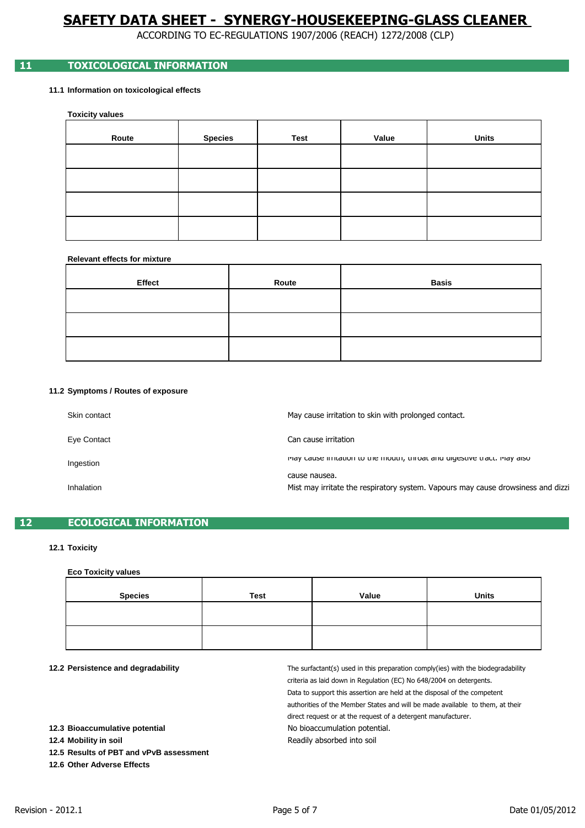ACCORDING TO EC-REGULATIONS 1907/2006 (REACH) 1272/2008 (CLP)

# **11 TOXICOLOGICAL INFORMATION**

### **11.1 Information on toxicological effects**

#### **Toxicity values**

| Route | <b>Species</b> | Test | Value | <b>Units</b> |
|-------|----------------|------|-------|--------------|
|       |                |      |       |              |
|       |                |      |       |              |
|       |                |      |       |              |
|       |                |      |       |              |

#### **Relevant effects for mixture**

| Effect | Route | <b>Basis</b> |
|--------|-------|--------------|
|        |       |              |
|        |       |              |
|        |       |              |

#### **11.2 Symptoms / Routes of exposure**

| Skin contact | May cause irritation to skin with prolonged contact.                                              |
|--------------|---------------------------------------------------------------------------------------------------|
| Eye Contact  | Can cause irritation                                                                              |
| Ingestion    | indy cause innuation to the mouth, throat and digestive tract. May also                           |
| Inhalation   | cause nausea.<br>Mist may irritate the respiratory system. Vapours may cause drowsiness and dizzi |

# **12 ECOLOGICAL INFORMATION**

#### **12.1 Toxicity**

#### **Eco Toxicity values**

| <b>Species</b> | <b>Test</b> | Value | <b>Units</b> |
|----------------|-------------|-------|--------------|
|                |             |       |              |
|                |             |       |              |

#### **12.2 Persistence and degradability**

authorities of the Member States and will be made available to them, at their Readily absorbed into soil No bioaccumulation potential. direct request or at the request of a detergent manufacturer. The surfactant(s) used in this preparation comply(ies) with the biodegradability criteria as laid down in Regulation (EC) No 648/2004 on detergents. Data to support this assertion are held at the disposal of the competent

**12.3 Bioaccumulative potential**

**12.4 Mobility in soil**

**12.5 Results of PBT and vPvB assessment**

**12.6 Other Adverse Effects**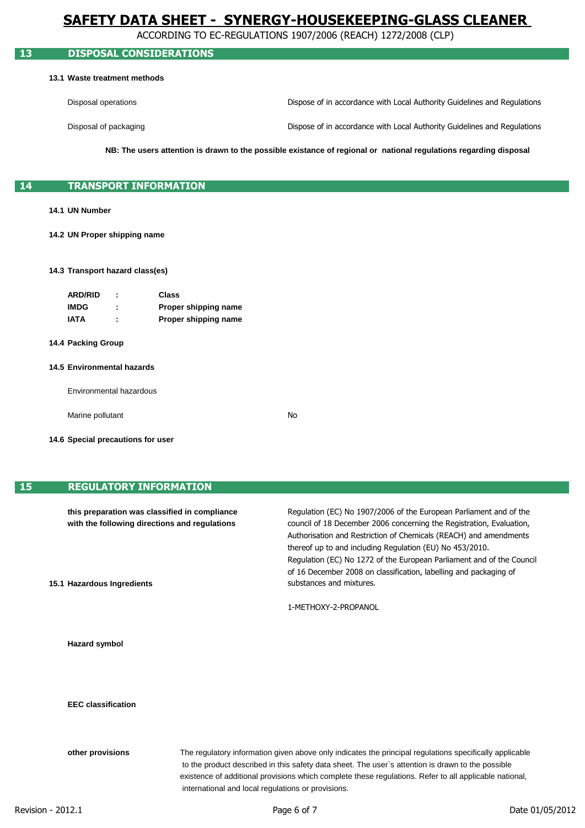ACCORDING TO EC-REGULATIONS 1907/2006 (REACH) 1272/2008 (CLP)

# **13 DISPOSAL CONSIDERATIONS**

#### **13.1 Waste treatment methods**

| Disposal operations   | Dispose of in accordance with Local Authority Guidelines and Regulations |
|-----------------------|--------------------------------------------------------------------------|
| Disposal of packaging | Dispose of in accordance with Local Authority Guidelines and Regulations |

**NB: The users attention is drawn to the possible existance of regional or national regulations regarding disposal**

## **14 TRANSPORT INFORMATION**

### **14.1 UN Number**

**14.2 UN Proper shipping name**

#### **14.3 Transport hazard class(es)**

| <b>ARD/RID</b> |   | Class                |
|----------------|---|----------------------|
| <b>IMDG</b>    |   | Proper shipping name |
| IATA           | ٠ | Proper shipping name |

#### **14.4 Packing Group**

#### **14.5 Environmental hazards**

Environmental hazardous

Marine pollutant

No

**14.6 Special precautions for user**

### **15 REGULATORY INFORMATION**

| this preparation was classified in compliance<br>with the following directions and regulations<br>15.1 Hazardous Ingredients |                                                                                                                                                                                                                                                                                                                                                                              | Regulation (EC) No 1907/2006 of the European Parliament and of the<br>council of 18 December 2006 concerning the Registration, Evaluation,<br>Authorisation and Restriction of Chemicals (REACH) and amendments<br>thereof up to and including Regulation (EU) No 453/2010.<br>Regulation (EC) No 1272 of the European Parliament and of the Council<br>of 16 December 2008 on classification, labelling and packaging of<br>substances and mixtures.<br>1-METHOXY-2-PROPANOL |
|------------------------------------------------------------------------------------------------------------------------------|------------------------------------------------------------------------------------------------------------------------------------------------------------------------------------------------------------------------------------------------------------------------------------------------------------------------------------------------------------------------------|-------------------------------------------------------------------------------------------------------------------------------------------------------------------------------------------------------------------------------------------------------------------------------------------------------------------------------------------------------------------------------------------------------------------------------------------------------------------------------|
| <b>Hazard symbol</b>                                                                                                         |                                                                                                                                                                                                                                                                                                                                                                              |                                                                                                                                                                                                                                                                                                                                                                                                                                                                               |
| <b>EEC</b> classification                                                                                                    |                                                                                                                                                                                                                                                                                                                                                                              |                                                                                                                                                                                                                                                                                                                                                                                                                                                                               |
| other provisions                                                                                                             | The regulatory information given above only indicates the principal regulations specifically applicable<br>to the product described in this safety data sheet. The user's attention is drawn to the possible<br>existence of additional provisions which complete these regulations. Refer to all applicable national,<br>international and local regulations or provisions. |                                                                                                                                                                                                                                                                                                                                                                                                                                                                               |